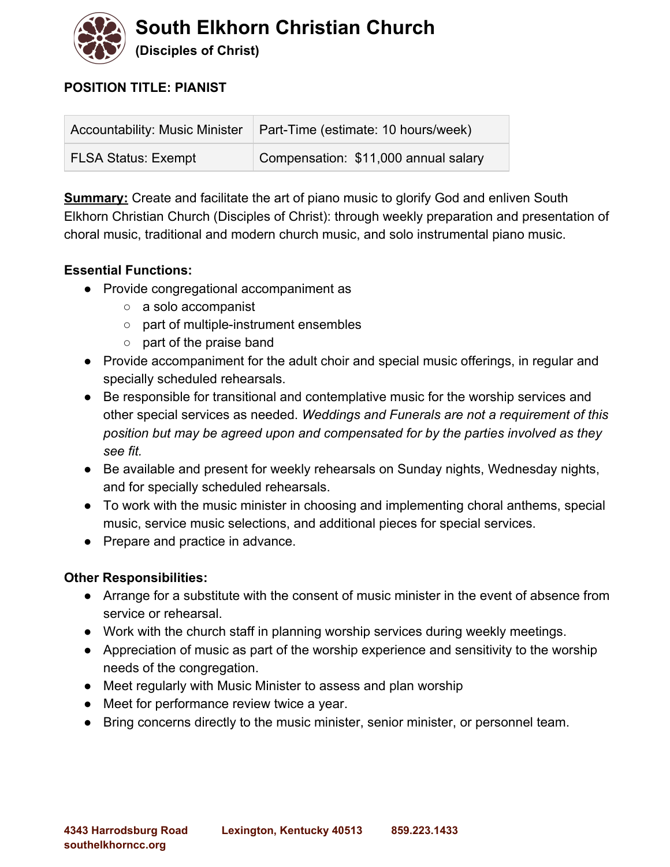

# **POSITION TITLE: PIANIST**

| Accountability: Music Minister | Part-Time (estimate: 10 hours/week)  |
|--------------------------------|--------------------------------------|
| <b>FLSA Status: Exempt</b>     | Compensation: \$11,000 annual salary |

**Summary:** Create and facilitate the art of piano music to glorify God and enliven South Elkhorn Christian Church (Disciples of Christ): through weekly preparation and presentation of choral music, traditional and modern church music, and solo instrumental piano music.

#### **Essential Functions:**

- Provide congregational accompaniment as
	- a solo accompanist
	- o part of multiple-instrument ensembles
	- part of the praise band
- Provide accompaniment for the adult choir and special music offerings, in regular and specially scheduled rehearsals.
- Be responsible for transitional and contemplative music for the worship services and other special services as needed. *Weddings and Funerals are not a requirement of this position but may be agreed upon and compensated for by the parties involved as they see fit.*
- Be available and present for weekly rehearsals on Sunday nights, Wednesday nights, and for specially scheduled rehearsals.
- To work with the music minister in choosing and implementing choral anthems, special music, service music selections, and additional pieces for special services.
- Prepare and practice in advance.

# **Other Responsibilities:**

- Arrange for a substitute with the consent of music minister in the event of absence from service or rehearsal.
- Work with the church staff in planning worship services during weekly meetings.
- Appreciation of music as part of the worship experience and sensitivity to the worship needs of the congregation.
- Meet regularly with Music Minister to assess and plan worship
- Meet for performance review twice a year.
- Bring concerns directly to the music minister, senior minister, or personnel team.